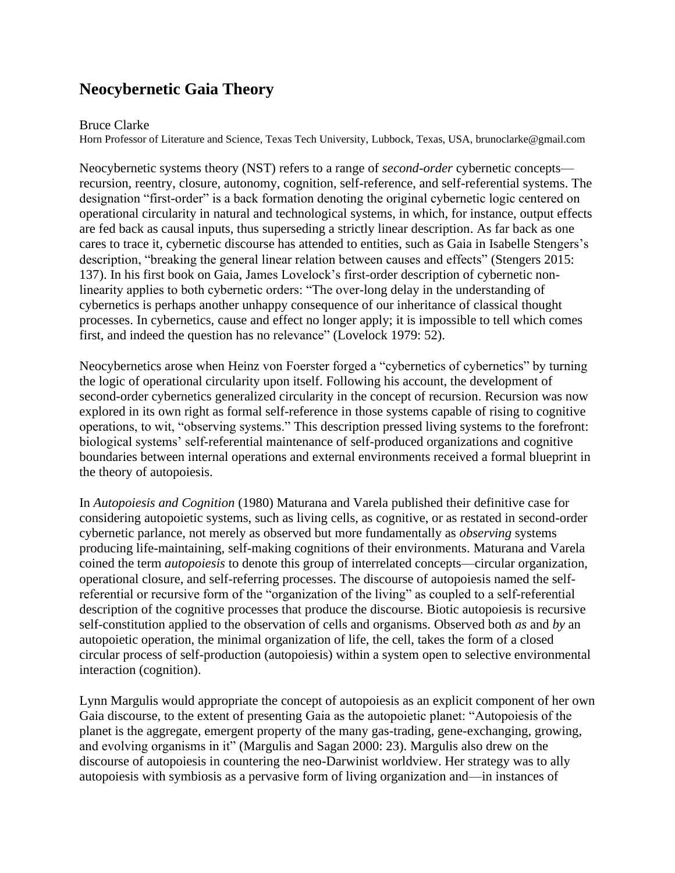## **Neocybernetic Gaia Theory**

## Bruce Clarke

Horn Professor of Literature and Science, Texas Tech University, Lubbock, Texas, USA, brunoclarke@gmail.com

Neocybernetic systems theory (NST) refers to a range of *second-order* cybernetic concepts recursion, reentry, closure, autonomy, cognition, self-reference, and self-referential systems. The designation "first-order" is a back formation denoting the original cybernetic logic centered on operational circularity in natural and technological systems, in which, for instance, output effects are fed back as causal inputs, thus superseding a strictly linear description. As far back as one cares to trace it, cybernetic discourse has attended to entities, such as Gaia in Isabelle Stengers's description, "breaking the general linear relation between causes and effects" (Stengers 2015: 137). In his first book on Gaia, James Lovelock's first-order description of cybernetic nonlinearity applies to both cybernetic orders: "The over-long delay in the understanding of cybernetics is perhaps another unhappy consequence of our inheritance of classical thought processes. In cybernetics, cause and effect no longer apply; it is impossible to tell which comes first, and indeed the question has no relevance" (Lovelock 1979: 52).

Neocybernetics arose when Heinz von Foerster forged a "cybernetics of cybernetics" by turning the logic of operational circularity upon itself. Following his account, the development of second-order cybernetics generalized circularity in the concept of recursion. Recursion was now explored in its own right as formal self-reference in those systems capable of rising to cognitive operations, to wit, "observing systems." This description pressed living systems to the forefront: biological systems' self-referential maintenance of self-produced organizations and cognitive boundaries between internal operations and external environments received a formal blueprint in the theory of autopoiesis.

In *Autopoiesis and Cognition* (1980) Maturana and Varela published their definitive case for considering autopoietic systems, such as living cells, as cognitive, or as restated in second-order cybernetic parlance, not merely as observed but more fundamentally as *observing* systems producing life-maintaining, self-making cognitions of their environments. Maturana and Varela coined the term *autopoiesis* to denote this group of interrelated concepts—circular organization, operational closure, and self-referring processes. The discourse of autopoiesis named the selfreferential or recursive form of the "organization of the living" as coupled to a self-referential description of the cognitive processes that produce the discourse. Biotic autopoiesis is recursive self-constitution applied to the observation of cells and organisms. Observed both *as* and *by* an autopoietic operation, the minimal organization of life, the cell, takes the form of a closed circular process of self-production (autopoiesis) within a system open to selective environmental interaction (cognition).

Lynn Margulis would appropriate the concept of autopoiesis as an explicit component of her own Gaia discourse, to the extent of presenting Gaia as the autopoietic planet: "Autopoiesis of the planet is the aggregate, emergent property of the many gas-trading, gene-exchanging, growing, and evolving organisms in it" (Margulis and Sagan 2000: 23). Margulis also drew on the discourse of autopoiesis in countering the neo-Darwinist worldview. Her strategy was to ally autopoiesis with symbiosis as a pervasive form of living organization and—in instances of